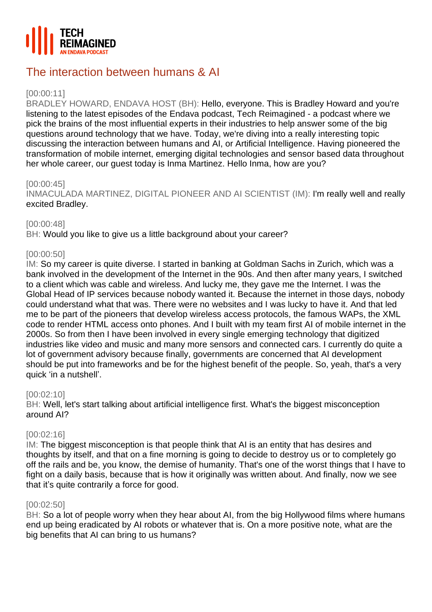

# The interaction between humans & AI

# [00:00:11]

BRADLEY HOWARD, ENDAVA HOST (BH): Hello, everyone. This is Bradley Howard and you're listening to the latest episodes of the Endava podcast, Tech Reimagined - a podcast where we pick the brains of the most influential experts in their industries to help answer some of the big questions around technology that we have. Today, we're diving into a really interesting topic discussing the interaction between humans and AI, or Artificial Intelligence. Having pioneered the transformation of mobile internet, emerging digital technologies and sensor based data throughout her whole career, our guest today is Inma Martinez. Hello Inma, how are you?

# [00:00:45]

INMACULADA MARTINEZ, DIGITAL PIONEER AND AI SCIENTIST (IM): I'm really well and really excited Bradley.

# [00:00:48]

BH: Would you like to give us a little background about your career?

# [00:00:50]

IM: So my career is quite diverse. I started in banking at Goldman Sachs in Zurich, which was a bank involved in the development of the Internet in the 90s. And then after many years, I switched to a client which was cable and wireless. And lucky me, they gave me the Internet. I was the Global Head of IP services because nobody wanted it. Because the internet in those days, nobody could understand what that was. There were no websites and I was lucky to have it. And that led me to be part of the pioneers that develop wireless access protocols, the famous WAPs, the XML code to render HTML access onto phones. And I built with my team first AI of mobile internet in the 2000s. So from then I have been involved in every single emerging technology that digitized industries like video and music and many more sensors and connected cars. I currently do quite a lot of government advisory because finally, governments are concerned that AI development should be put into frameworks and be for the highest benefit of the people. So, yeah, that's a very quick 'in a nutshell'.

# [00:02:10]

BH: Well, let's start talking about artificial intelligence first. What's the biggest misconception around AI?

# [00:02:16]

IM: The biggest misconception is that people think that AI is an entity that has desires and thoughts by itself, and that on a fine morning is going to decide to destroy us or to completely go off the rails and be, you know, the demise of humanity. That's one of the worst things that I have to fight on a daily basis, because that is how it originally was written about. And finally, now we see that it's quite contrarily a force for good.

# [00:02:50]

BH: So a lot of people worry when they hear about AI, from the big Hollywood films where humans end up being eradicated by AI robots or whatever that is. On a more positive note, what are the big benefits that AI can bring to us humans?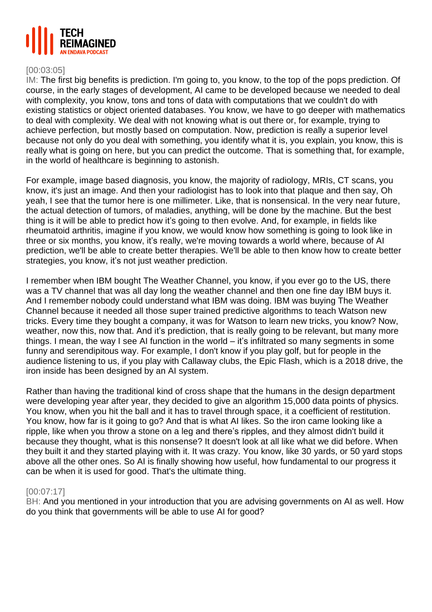

## [00:03:05]

IM: The first big benefits is prediction. I'm going to, you know, to the top of the pops prediction. Of course, in the early stages of development, AI came to be developed because we needed to deal with complexity, you know, tons and tons of data with computations that we couldn't do with existing statistics or object oriented databases. You know, we have to go deeper with mathematics to deal with complexity. We deal with not knowing what is out there or, for example, trying to achieve perfection, but mostly based on computation. Now, prediction is really a superior level because not only do you deal with something, you identify what it is, you explain, you know, this is really what is going on here, but you can predict the outcome. That is something that, for example, in the world of healthcare is beginning to astonish.

For example, image based diagnosis, you know, the majority of radiology, MRIs, CT scans, you know, it's just an image. And then your radiologist has to look into that plaque and then say, Oh yeah, I see that the tumor here is one millimeter. Like, that is nonsensical. In the very near future, the actual detection of tumors, of maladies, anything, will be done by the machine. But the best thing is it will be able to predict how it's going to then evolve. And, for example, in fields like rheumatoid arthritis, imagine if you know, we would know how something is going to look like in three or six months, you know, it's really, we're moving towards a world where, because of AI prediction, we'll be able to create better therapies. We'll be able to then know how to create better strategies, you know, it's not just weather prediction.

I remember when IBM bought The Weather Channel, you know, if you ever go to the US, there was a TV channel that was all day long the weather channel and then one fine day IBM buys it. And I remember nobody could understand what IBM was doing. IBM was buying The Weather Channel because it needed all those super trained predictive algorithms to teach Watson new tricks. Every time they bought a company, it was for Watson to learn new tricks, you know? Now, weather, now this, now that. And it's prediction, that is really going to be relevant, but many more things. I mean, the way I see AI function in the world – it's infiltrated so many segments in some funny and serendipitous way. For example, I don't know if you play golf, but for people in the audience listening to us, if you play with Callaway clubs, the Epic Flash, which is a 2018 drive, the iron inside has been designed by an AI system.

Rather than having the traditional kind of cross shape that the humans in the design department were developing year after year, they decided to give an algorithm 15,000 data points of physics. You know, when you hit the ball and it has to travel through space, it a coefficient of restitution. You know, how far is it going to go? And that is what AI likes. So the iron came looking like a ripple, like when you throw a stone on a leg and there's ripples, and they almost didn't build it because they thought, what is this nonsense? It doesn't look at all like what we did before. When they built it and they started playing with it. It was crazy. You know, like 30 yards, or 50 yard stops above all the other ones. So AI is finally showing how useful, how fundamental to our progress it can be when it is used for good. That's the ultimate thing.

#### [00:07:17]

BH: And you mentioned in your introduction that you are advising governments on AI as well. How do you think that governments will be able to use AI for good?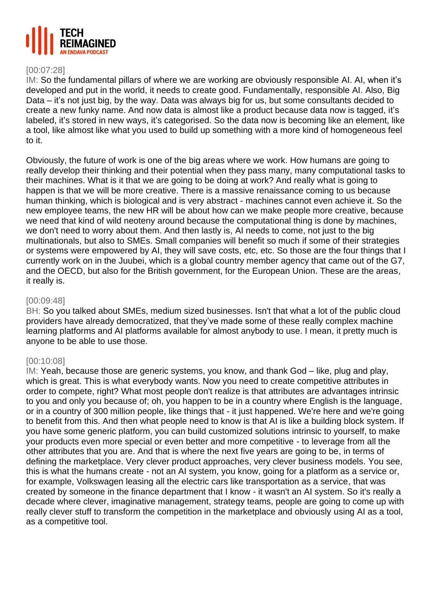

## [00:07:28]

IM: So the fundamental pillars of where we are working are obviously responsible AI. AI, when it's developed and put in the world, it needs to create good. Fundamentally, responsible AI. Also, Big Data – it's not just big, by the way. Data was always big for us, but some consultants decided to create a new funky name. And now data is almost like a product because data now is tagged, it's labeled, it's stored in new ways, it's categorised. So the data now is becoming like an element, like a tool, like almost like what you used to build up something with a more kind of homogeneous feel to it.

Obviously, the future of work is one of the big areas where we work. How humans are going to really develop their thinking and their potential when they pass many, many computational tasks to their machines. What is it that we are going to be doing at work? And really what is going to happen is that we will be more creative. There is a massive renaissance coming to us because human thinking, which is biological and is very abstract - machines cannot even achieve it. So the new employee teams, the new HR will be about how can we make people more creative, because we need that kind of wild neoteny around because the computational thing is done by machines, we don't need to worry about them. And then lastly is, AI needs to come, not just to the big multinationals, but also to SMEs. Small companies will benefit so much if some of their strategies or systems were empowered by AI, they will save costs, etc, etc. So those are the four things that I currently work on in the Juubei, which is a global country member agency that came out of the G7, and the OECD, but also for the British government, for the European Union. These are the areas, it really is.

## [00:09:48]

BH: So you talked about SMEs, medium sized businesses. Isn't that what a lot of the public cloud providers have already democratized, that they've made some of these really complex machine learning platforms and AI platforms available for almost anybody to use. I mean, it pretty much is anyone to be able to use those.

# [00:10:08]

IM: Yeah, because those are generic systems, you know, and thank God – like, plug and play, which is great. This is what everybody wants. Now you need to create competitive attributes in order to compete, right? What most people don't realize is that attributes are advantages intrinsic to you and only you because of; oh, you happen to be in a country where English is the language, or in a country of 300 million people, like things that - it just happened. We're here and we're going to benefit from this. And then what people need to know is that AI is like a building block system. If you have some generic platform, you can build customized solutions intrinsic to yourself, to make your products even more special or even better and more competitive - to leverage from all the other attributes that you are. And that is where the next five years are going to be, in terms of defining the marketplace. Very clever product approaches, very clever business models. You see, this is what the humans create - not an AI system, you know, going for a platform as a service or, for example, Volkswagen leasing all the electric cars like transportation as a service, that was created by someone in the finance department that I know - it wasn't an AI system. So it's really a decade where clever, imaginative management, strategy teams, people are going to come up with really clever stuff to transform the competition in the marketplace and obviously using AI as a tool, as a competitive tool.